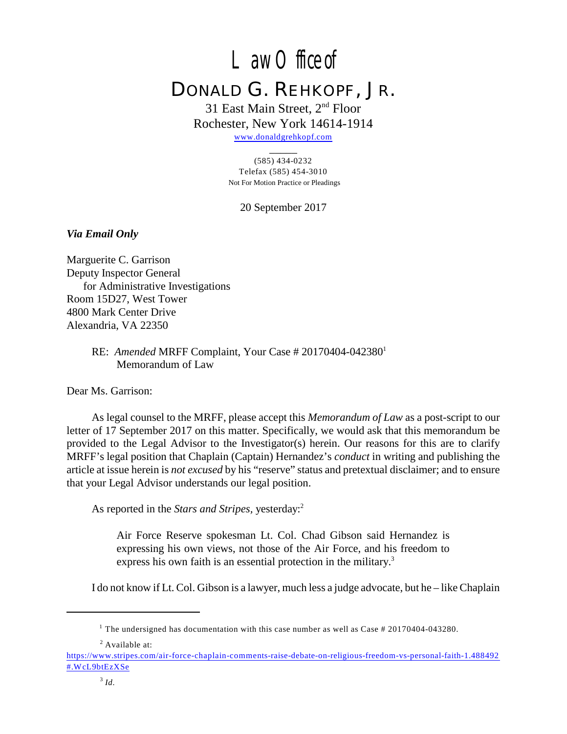# Law Office of DONALD G. REHKOPF, JR.

# 31 East Main Street,  $2<sup>nd</sup>$  Floor Rochester, New York 14614-1914

[www.donaldgrehkopf.com](http://www.donaldgrehkopf.com)  $\overline{\phantom{a}}$ 

#### (585) 434-0232 Telefax (585) 454-3010 Not For Motion Practice or Pleadings

20 September 2017

# *Via Email Only*

Marguerite C. Garrison Deputy Inspector General for Administrative Investigations Room 15D27, West Tower 4800 Mark Center Drive Alexandria, VA 22350

> RE: *Amended* MRFF Complaint, Your Case # 20170404-042380<sup>1</sup> Memorandum of Law

Dear Ms. Garrison:

As legal counsel to the MRFF, please accept this *Memorandum of Law* as a post-script to our letter of 17 September 2017 on this matter. Specifically, we would ask that this memorandum be provided to the Legal Advisor to the Investigator(s) herein. Our reasons for this are to clarify MRFF's legal position that Chaplain (Captain) Hernandez's *conduct* in writing and publishing the article at issue herein is *not excused* by his "reserve" status and pretextual disclaimer; and to ensure that your Legal Advisor understands our legal position.

As reported in the *Stars and Stripes,* yesterday: 2

Air Force Reserve spokesman Lt. Col. Chad Gibson said Hernandez is expressing his own views, not those of the Air Force, and his freedom to express his own faith is an essential protection in the military.<sup>3</sup>

I do not know if Lt. Col. Gibson is a lawyer, much less a judge advocate, but he – like Chaplain

<sup>2</sup> Available at:

<sup>&</sup>lt;sup>1</sup> The undersigned has documentation with this case number as well as Case  $\#$  20170404-043280.

[https://www.stripes.com/air-force-chaplain-comments-raise-debate-on-religious-freedom-vs-personal-faith-1.488492](%20https://www.stripes.com/air-force-chaplain-comments-raise-debate-on-religious-freedom-vs-personal-faith-1.488492#.WcL9btEzXSe) [#.WcL9btEzXSe](%20https://www.stripes.com/air-force-chaplain-comments-raise-debate-on-religious-freedom-vs-personal-faith-1.488492#.WcL9btEzXSe)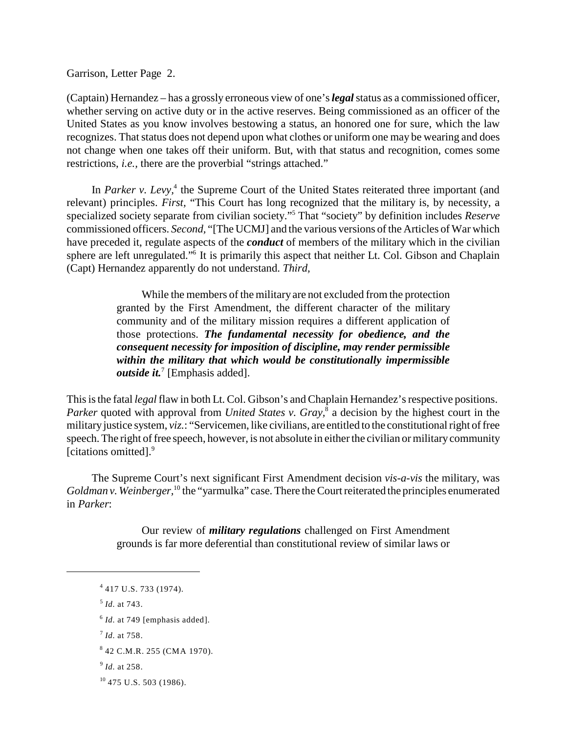Garrison, Letter Page 2.

(Captain) Hernandez – has a grossly erroneous view of one's *legal* status as a commissioned officer, whether serving on active duty or in the active reserves. Being commissioned as an officer of the United States as you know involves bestowing a status, an honored one for sure, which the law recognizes. That status does not depend upon what clothes or uniform one may be wearing and does not change when one takes off their uniform. But, with that status and recognition, comes some restrictions, *i.e.,* there are the proverbial "strings attached."

In *Parker v. Levy*,<sup>4</sup> the Supreme Court of the United States reiterated three important (and relevant) principles. *First,* "This Court has long recognized that the military is, by necessity, a specialized society separate from civilian society."<sup>5</sup> That "society" by definition includes *Reserve* commissioned officers. *Second,* "[The UCMJ] and the various versions of the Articles of War which have preceded it, regulate aspects of the *conduct* of members of the military which in the civilian sphere are left unregulated."<sup>6</sup> It is primarily this aspect that neither Lt. Col. Gibson and Chaplain (Capt) Hernandez apparently do not understand. *Third,*

> While the members of the military are not excluded from the protection granted by the First Amendment, the different character of the military community and of the military mission requires a different application of those protections. *The fundamental necessity for obedience, and the consequent necessity for imposition of discipline, may render permissible within the military that which would be constitutionally impermissible outside it.*<sup>7</sup> [Emphasis added].

This is the fatal *legal* flaw in both Lt. Col. Gibson's and Chaplain Hernandez's respective positions. *Parker* quoted with approval from *United States v. Gray*,<sup>8</sup> a decision by the highest court in the military justice system, *viz.*: "Servicemen, like civilians, are entitled to the constitutional right of free speech. The right of free speech, however, is not absolute in either the civilian or militarycommunity [citations omitted]. 9

The Supreme Court's next significant First Amendment decision *vis-a-vis* the military, was *Goldman v. Weinberger*, <sup>10</sup> the "yarmulka" case. There the Court reiterated the principles enumerated in *Parker*:

> Our review of *military regulations* challenged on First Amendment grounds is far more deferential than constitutional review of similar laws or

<sup>&</sup>lt;sup>4</sup> 417 U.S. 733 (1974).

<sup>&</sup>lt;sup>5</sup> *Id.* at 743.

 $<sup>6</sup>$  *Id.* at 749 [emphasis added].</sup>

<sup>&</sup>lt;sup>7</sup> *Id.* at 758.

<sup>&</sup>lt;sup>8</sup> 42 C.M.R. 255 (CMA 1970).

<sup>&</sup>lt;sup>9</sup> *Id.* at 258.

<sup>&</sup>lt;sup>10</sup> 475 U.S. 503 (1986).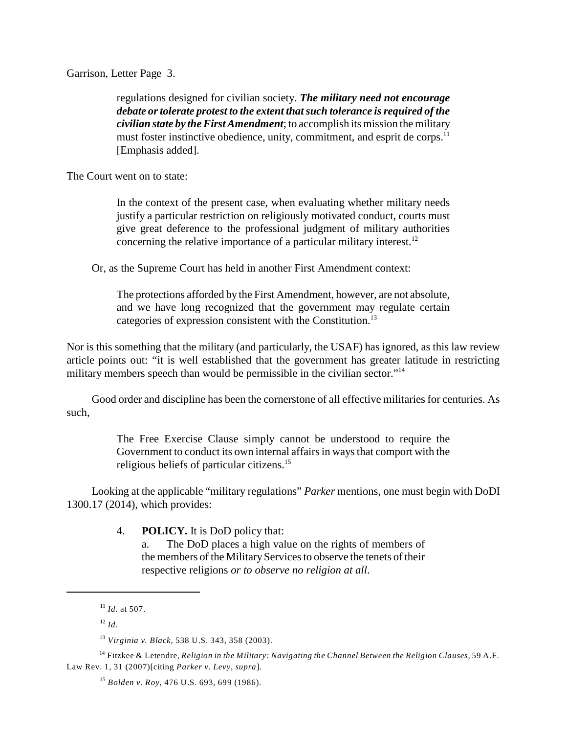Garrison, Letter Page 3.

regulations designed for civilian society. *The military need not encourage debate or tolerate protest to the extent that such tolerance is required of the civilian state by the First Amendment*; to accomplish its mission the military must foster instinctive obedience, unity, commitment, and esprit de corps.<sup>11</sup> [Emphasis added].

The Court went on to state:

In the context of the present case, when evaluating whether military needs justify a particular restriction on religiously motivated conduct, courts must give great deference to the professional judgment of military authorities concerning the relative importance of a particular military interest.<sup>12</sup>

Or, as the Supreme Court has held in another First Amendment context:

The protections afforded by the First Amendment, however, are not absolute, and we have long recognized that the government may regulate certain categories of expression consistent with the Constitution.<sup>13</sup>

Nor is this something that the military (and particularly, the USAF) has ignored, as this law review article points out: "it is well established that the government has greater latitude in restricting military members speech than would be permissible in the civilian sector."<sup>14</sup>

Good order and discipline has been the cornerstone of all effective militaries for centuries. As such,

> The Free Exercise Clause simply cannot be understood to require the Government to conduct its own internal affairs in ways that comport with the religious beliefs of particular citizens.<sup>15</sup>

Looking at the applicable "military regulations" *Parker* mentions, one must begin with DoDI 1300.17 (2014), which provides:

4. **POLICY.** It is DoD policy that:

a. The DoD places a high value on the rights of members of the members of the Military Services to observe the tenets of their respective religions *or to observe no religion at all*.

 $^{11}$  *Id.* at 507.

 $l^2$  *Id.* 

*Virginia v. Black,* 538 U.S. 343, 358 (2003). 13

Fitzkee & Letendre, *Religion in the Military: Navigating the Channel Between the Religion Clauses,* 59 A.F. 14 Law Rev. 1, 31 (2007)[citing *Parker v. Levy, supra*].

*Bolden v. Roy,* 476 U.S. 693, 699 (1986). 15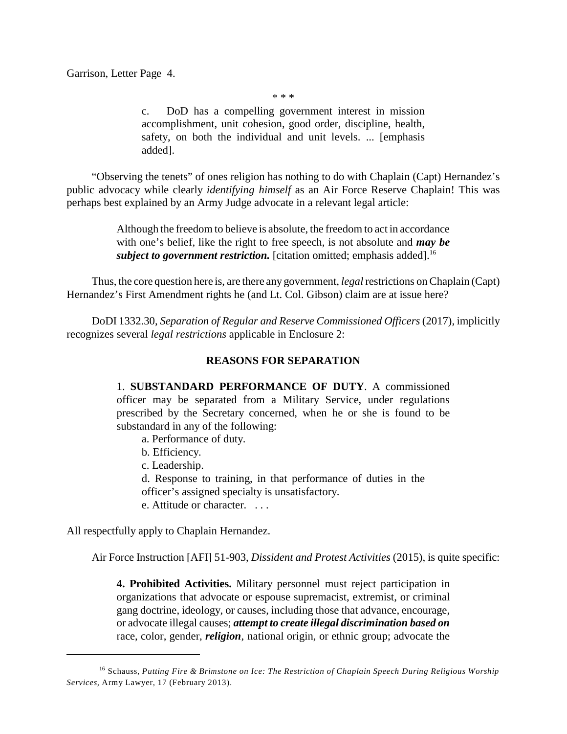Garrison, Letter Page 4.

\* \* \*

c. DoD has a compelling government interest in mission accomplishment, unit cohesion, good order, discipline, health, safety, on both the individual and unit levels. ... [emphasis added].

"Observing the tenets" of ones religion has nothing to do with Chaplain (Capt) Hernandez's public advocacy while clearly *identifying himself* as an Air Force Reserve Chaplain! This was perhaps best explained by an Army Judge advocate in a relevant legal article:

> Although the freedom to believe is absolute, the freedom to act in accordance with one's belief, like the right to free speech, is not absolute and *may be subject to government restriction.* [citation omitted; emphasis added].<sup>16</sup>

Thus, the core question here is, are there any government, *legal* restrictions on Chaplain (Capt) Hernandez's First Amendment rights he (and Lt. Col. Gibson) claim are at issue here?

DoDI 1332.30, *Separation of Regular and Reserve Commissioned Officers* (2017), implicitly recognizes several *legal restrictions* applicable in Enclosure 2:

### **REASONS FOR SEPARATION**

1. **SUBSTANDARD PERFORMANCE OF DUTY**. A commissioned officer may be separated from a Military Service, under regulations prescribed by the Secretary concerned, when he or she is found to be substandard in any of the following:

a. Performance of duty.

b. Efficiency.

c. Leadership.

d. Response to training, in that performance of duties in the officer's assigned specialty is unsatisfactory. e. Attitude or character. . . .

All respectfully apply to Chaplain Hernandez.

Air Force Instruction [AFI] 51-903, *Dissident and Protest Activities* (2015), is quite specific:

**4. Prohibited Activities.** Military personnel must reject participation in organizations that advocate or espouse supremacist, extremist, or criminal gang doctrine, ideology, or causes, including those that advance, encourage, or advocate illegal causes; *attempt to create illegal discrimination based on* race, color, gender, *religion*, national origin, or ethnic group; advocate the

Schauss, *Putting Fire & Brimstone on Ice: The Restriction of Chaplain Speech During Religious Worship* 16 *Services,* Army Lawyer, 17 (February 2013).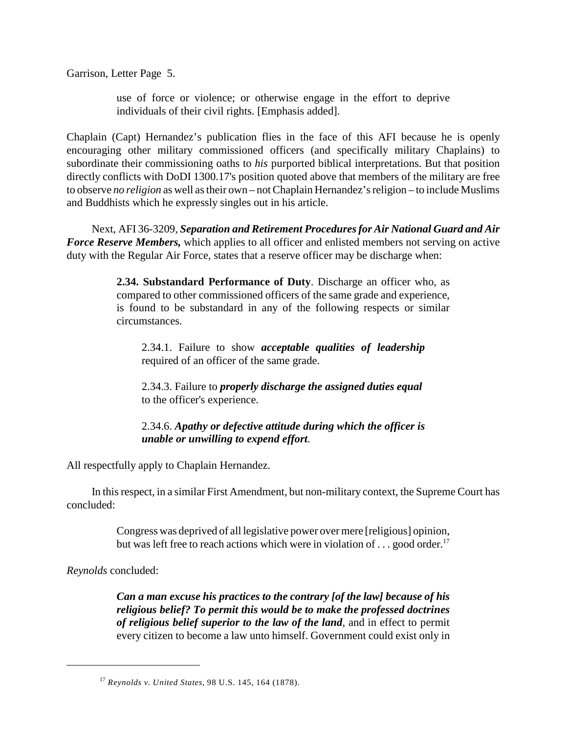Garrison, Letter Page 5.

use of force or violence; or otherwise engage in the effort to deprive individuals of their civil rights. [Emphasis added].

Chaplain (Capt) Hernandez's publication flies in the face of this AFI because he is openly encouraging other military commissioned officers (and specifically military Chaplains) to subordinate their commissioning oaths to *his* purported biblical interpretations. But that position directly conflicts with DoDI 1300.17's position quoted above that members of the military are free to observe *no religion* as well as their own – not Chaplain Hernandez's religion – to include Muslims and Buddhists which he expressly singles out in his article.

Next, AFI 36-3209, *Separation and Retirement Procedures for Air National Guard and Air Force Reserve Members,* which applies to all officer and enlisted members not serving on active duty with the Regular Air Force, states that a reserve officer may be discharge when:

> **2.34. Substandard Performance of Duty**. Discharge an officer who, as compared to other commissioned officers of the same grade and experience, is found to be substandard in any of the following respects or similar circumstances.

2.34.1. Failure to show *acceptable qualities of leadership* required of an officer of the same grade.

2.34.3. Failure to *properly discharge the assigned duties equal* to the officer's experience.

2.34.6. *Apathy or defective attitude during which the officer is unable or unwilling to expend effort*.

All respectfully apply to Chaplain Hernandez.

In this respect, in a similar First Amendment, but non-military context, the Supreme Court has concluded:

> Congress was deprived of all legislative power over mere [religious] opinion, but was left free to reach actions which were in violation of . . . good order.<sup>17</sup>

*Reynolds* concluded:

*Can a man excuse his practices to the contrary [of the law] because of his religious belief? To permit this would be to make the professed doctrines of religious belief superior to the law of the land*, and in effect to permit every citizen to become a law unto himself. Government could exist only in

*Reynolds v. United States,* 98 U.S. 145, 164 (1878). 17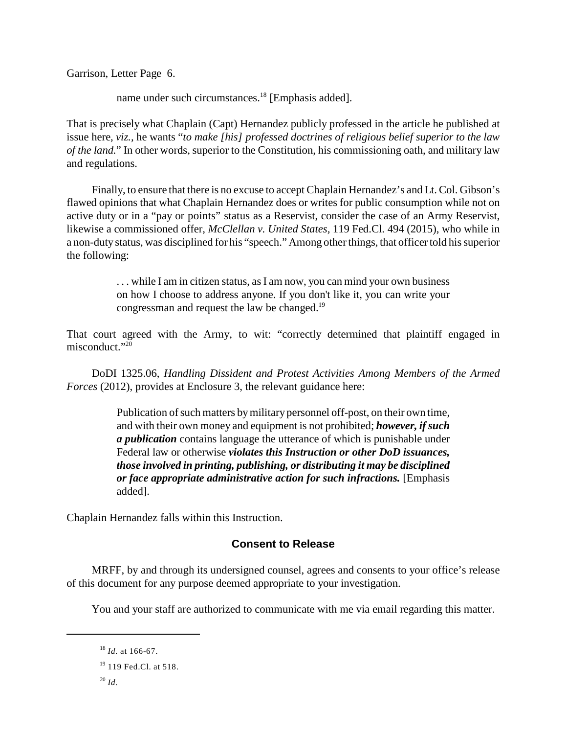Garrison, Letter Page 6.

name under such circumstances.<sup>18</sup> [Emphasis added].

That is precisely what Chaplain (Capt) Hernandez publicly professed in the article he published at issue here, *viz.,* he wants "*to make [his] professed doctrines of religious belief superior to the law of the land.*" In other words, superior to the Constitution, his commissioning oath, and military law and regulations.

Finally, to ensure that there is no excuse to accept Chaplain Hernandez's and Lt. Col. Gibson's flawed opinions that what Chaplain Hernandez does or writes for public consumption while not on active duty or in a "pay or points" status as a Reservist, consider the case of an Army Reservist, likewise a commissioned offer, *McClellan v. United States,* 119 Fed.Cl. 494 (2015), who while in a non-duty status, was disciplined for his "speech." Among other things, that officer told his superior the following:

> . . . while I am in citizen status, as I am now, you can mind your own business on how I choose to address anyone. If you don't like it, you can write your congressman and request the law be changed.<sup>19</sup>

That court agreed with the Army, to wit: "correctly determined that plaintiff engaged in misconduct."<sup>20</sup>

DoDI 1325.06, *Handling Dissident and Protest Activities Among Members of the Armed Forces* (2012), provides at Enclosure 3, the relevant guidance here:

> Publication of such matters by military personnel off-post, on their own time, and with their own money and equipment is not prohibited; *however, if such a publication* contains language the utterance of which is punishable under Federal law or otherwise *violates this Instruction or other DoD issuances, those involved in printing, publishing, or distributing it may be disciplined or face appropriate administrative action for such infractions.* [Emphasis added].

Chaplain Hernandez falls within this Instruction.

## **Consent to Release**

MRFF, by and through its undersigned counsel, agrees and consents to your office's release of this document for any purpose deemed appropriate to your investigation.

You and your staff are authorized to communicate with me via email regarding this matter.

<sup>&</sup>lt;sup>18</sup> *Id.* at 166-67.

<sup>&</sup>lt;sup>19</sup> 119 Fed.Cl. at 518.